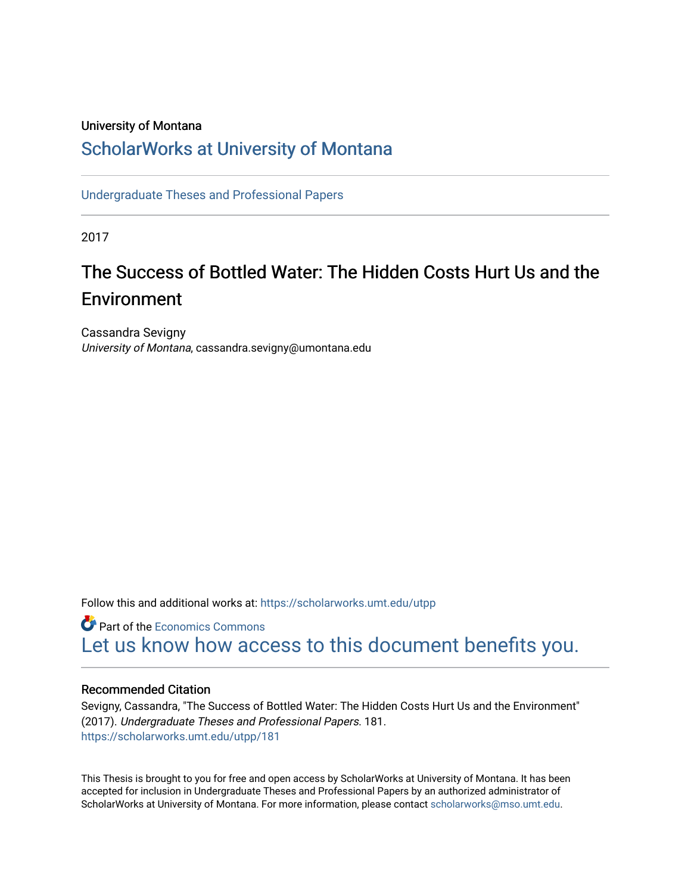# University of Montana

# [ScholarWorks at University of Montana](https://scholarworks.umt.edu/)

[Undergraduate Theses and Professional Papers](https://scholarworks.umt.edu/utpp) 

2017

# The Success of Bottled Water: The Hidden Costs Hurt Us and the Environment

Cassandra Sevigny University of Montana, cassandra.sevigny@umontana.edu

Follow this and additional works at: [https://scholarworks.umt.edu/utpp](https://scholarworks.umt.edu/utpp?utm_source=scholarworks.umt.edu%2Futpp%2F181&utm_medium=PDF&utm_campaign=PDFCoverPages)

**P** Part of the [Economics Commons](http://network.bepress.com/hgg/discipline/340?utm_source=scholarworks.umt.edu%2Futpp%2F181&utm_medium=PDF&utm_campaign=PDFCoverPages) [Let us know how access to this document benefits you.](https://goo.gl/forms/s2rGfXOLzz71qgsB2) 

# Recommended Citation

Sevigny, Cassandra, "The Success of Bottled Water: The Hidden Costs Hurt Us and the Environment" (2017). Undergraduate Theses and Professional Papers. 181. [https://scholarworks.umt.edu/utpp/181](https://scholarworks.umt.edu/utpp/181?utm_source=scholarworks.umt.edu%2Futpp%2F181&utm_medium=PDF&utm_campaign=PDFCoverPages)

This Thesis is brought to you for free and open access by ScholarWorks at University of Montana. It has been accepted for inclusion in Undergraduate Theses and Professional Papers by an authorized administrator of ScholarWorks at University of Montana. For more information, please contact [scholarworks@mso.umt.edu.](mailto:scholarworks@mso.umt.edu)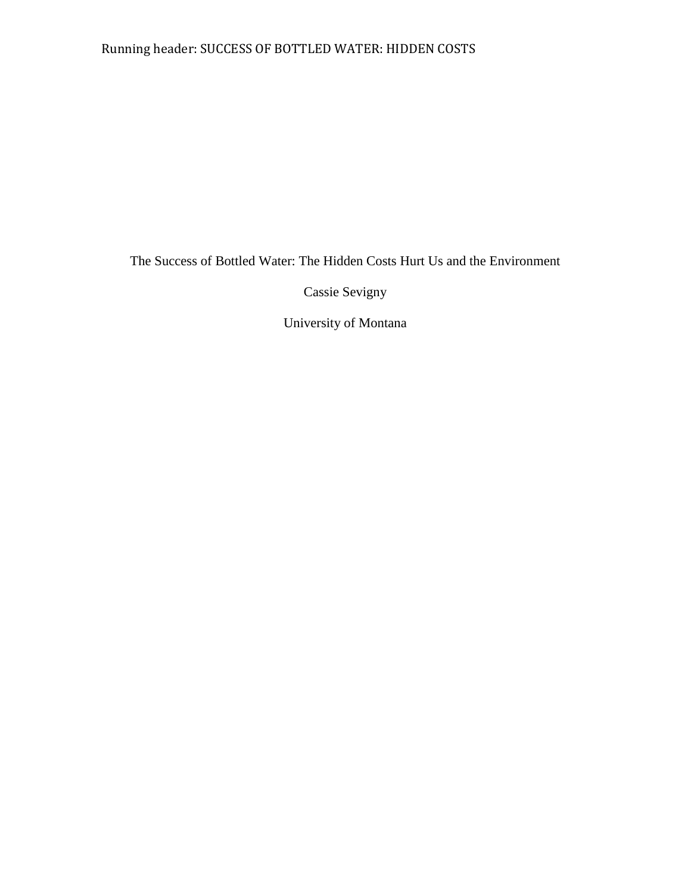# Running header: SUCCESS OF BOTTLED WATER: HIDDEN COSTS

The Success of Bottled Water: The Hidden Costs Hurt Us and the Environment

Cassie Sevigny

University of Montana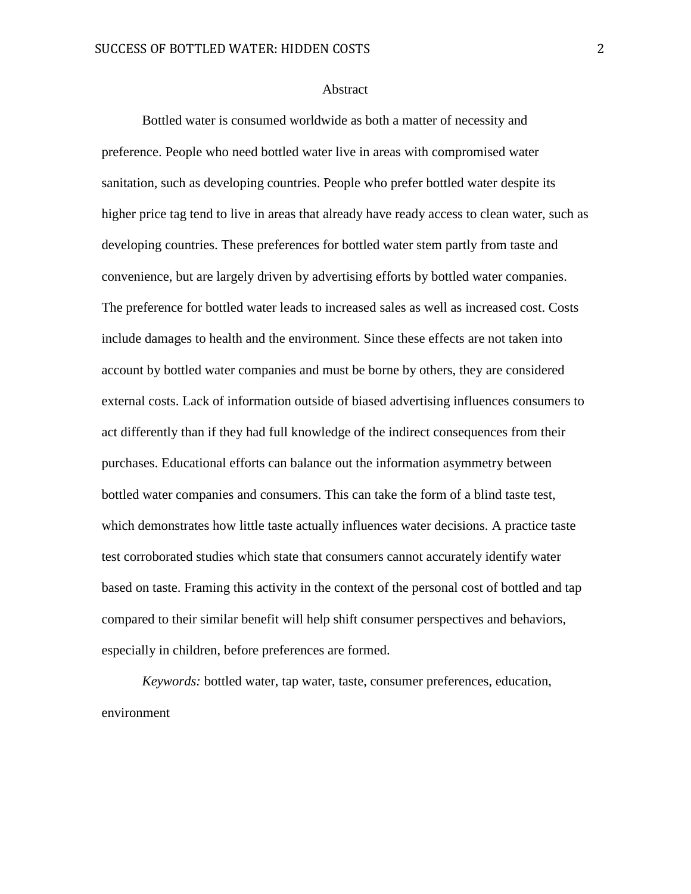### **Abstract**

Bottled water is consumed worldwide as both a matter of necessity and preference. People who need bottled water live in areas with compromised water sanitation, such as developing countries. People who prefer bottled water despite its higher price tag tend to live in areas that already have ready access to clean water, such as developing countries. These preferences for bottled water stem partly from taste and convenience, but are largely driven by advertising efforts by bottled water companies. The preference for bottled water leads to increased sales as well as increased cost. Costs include damages to health and the environment. Since these effects are not taken into account by bottled water companies and must be borne by others, they are considered external costs. Lack of information outside of biased advertising influences consumers to act differently than if they had full knowledge of the indirect consequences from their purchases. Educational efforts can balance out the information asymmetry between bottled water companies and consumers. This can take the form of a blind taste test, which demonstrates how little taste actually influences water decisions. A practice taste test corroborated studies which state that consumers cannot accurately identify water based on taste. Framing this activity in the context of the personal cost of bottled and tap compared to their similar benefit will help shift consumer perspectives and behaviors, especially in children, before preferences are formed.

*Keywords:* bottled water, tap water, taste, consumer preferences, education, environment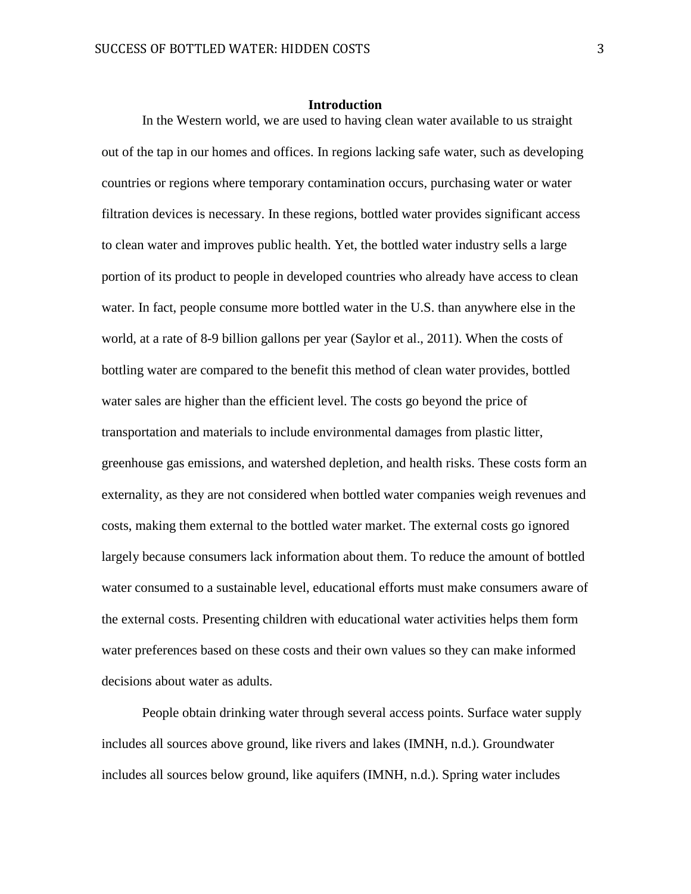#### **Introduction**

In the Western world, we are used to having clean water available to us straight out of the tap in our homes and offices. In regions lacking safe water, such as developing countries or regions where temporary contamination occurs, purchasing water or water filtration devices is necessary. In these regions, bottled water provides significant access to clean water and improves public health. Yet, the bottled water industry sells a large portion of its product to people in developed countries who already have access to clean water. In fact, people consume more bottled water in the U.S. than anywhere else in the world, at a rate of 8-9 billion gallons per year (Saylor et al., 2011). When the costs of bottling water are compared to the benefit this method of clean water provides, bottled water sales are higher than the efficient level. The costs go beyond the price of transportation and materials to include environmental damages from plastic litter, greenhouse gas emissions, and watershed depletion, and health risks. These costs form an externality, as they are not considered when bottled water companies weigh revenues and costs, making them external to the bottled water market. The external costs go ignored largely because consumers lack information about them. To reduce the amount of bottled water consumed to a sustainable level, educational efforts must make consumers aware of the external costs. Presenting children with educational water activities helps them form water preferences based on these costs and their own values so they can make informed decisions about water as adults.

People obtain drinking water through several access points. Surface water supply includes all sources above ground, like rivers and lakes (IMNH, n.d.). Groundwater includes all sources below ground, like aquifers (IMNH, n.d.). Spring water includes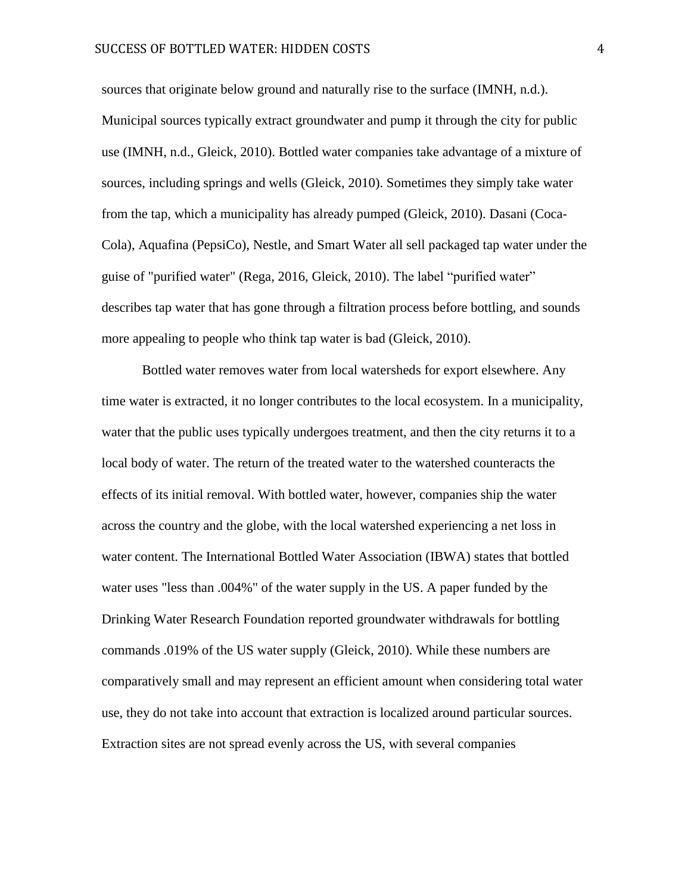sources that originate below ground and naturally rise to the surface (IMNH, n.d.). Municipal sources typically extract groundwater and pump it through the city for public use (IMNH, n.d., Gleick, 2010). Bottled water companies take advantage of a mixture of sources, including springs and wells (Gleick, 2010). Sometimes they simply take water from the tap, which a municipality has already pumped (Gleick, 2010). Dasani (Coca-Cola), Aquafina (PepsiCo), Nestle, and Smart Water all sell packaged tap water under the guise of "purified water" (Rega, 2016, Gleick, 2010). The label "purified water" describes tap water that has gone through a filtration process before bottling, and sounds more appealing to people who think tap water is bad (Gleick, 2010).

Bottled water removes water from local watersheds for export elsewhere. Any time water is extracted, it no longer contributes to the local ecosystem. In a municipality, water that the public uses typically undergoes treatment, and then the city returns it to a local body of water. The return of the treated water to the watershed counteracts the effects of its initial removal. With bottled water, however, companies ship the water across the country and the globe, with the local watershed experiencing a net loss in water content. The International Bottled Water Association (IBWA) states that bottled water uses "less than .004%" of the water supply in the US. A paper funded by the Drinking Water Research Foundation reported groundwater withdrawals for bottling commands .019% of the US water supply (Gleick, 2010). While these numbers are comparatively small and may represent an efficient amount when considering total water use, they do not take into account that extraction is localized around particular sources. Extraction sites are not spread evenly across the US, with several companies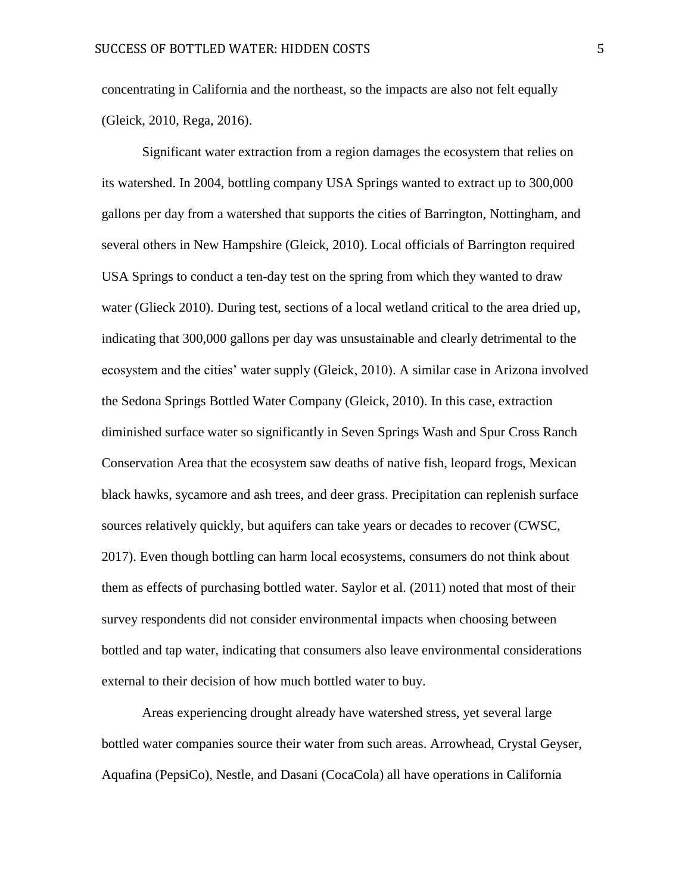concentrating in California and the northeast, so the impacts are also not felt equally (Gleick, 2010, Rega, 2016).

Significant water extraction from a region damages the ecosystem that relies on its watershed. In 2004, bottling company USA Springs wanted to extract up to 300,000 gallons per day from a watershed that supports the cities of Barrington, Nottingham, and several others in New Hampshire (Gleick, 2010). Local officials of Barrington required USA Springs to conduct a ten-day test on the spring from which they wanted to draw water (Glieck 2010). During test, sections of a local wetland critical to the area dried up, indicating that 300,000 gallons per day was unsustainable and clearly detrimental to the ecosystem and the cities' water supply (Gleick, 2010). A similar case in Arizona involved the Sedona Springs Bottled Water Company (Gleick, 2010). In this case, extraction diminished surface water so significantly in Seven Springs Wash and Spur Cross Ranch Conservation Area that the ecosystem saw deaths of native fish, leopard frogs, Mexican black hawks, sycamore and ash trees, and deer grass. Precipitation can replenish surface sources relatively quickly, but aquifers can take years or decades to recover (CWSC, 2017). Even though bottling can harm local ecosystems, consumers do not think about them as effects of purchasing bottled water. Saylor et al. (2011) noted that most of their survey respondents did not consider environmental impacts when choosing between bottled and tap water, indicating that consumers also leave environmental considerations external to their decision of how much bottled water to buy.

Areas experiencing drought already have watershed stress, yet several large bottled water companies source their water from such areas. Arrowhead, Crystal Geyser, Aquafina (PepsiCo), Nestle, and Dasani (CocaCola) all have operations in California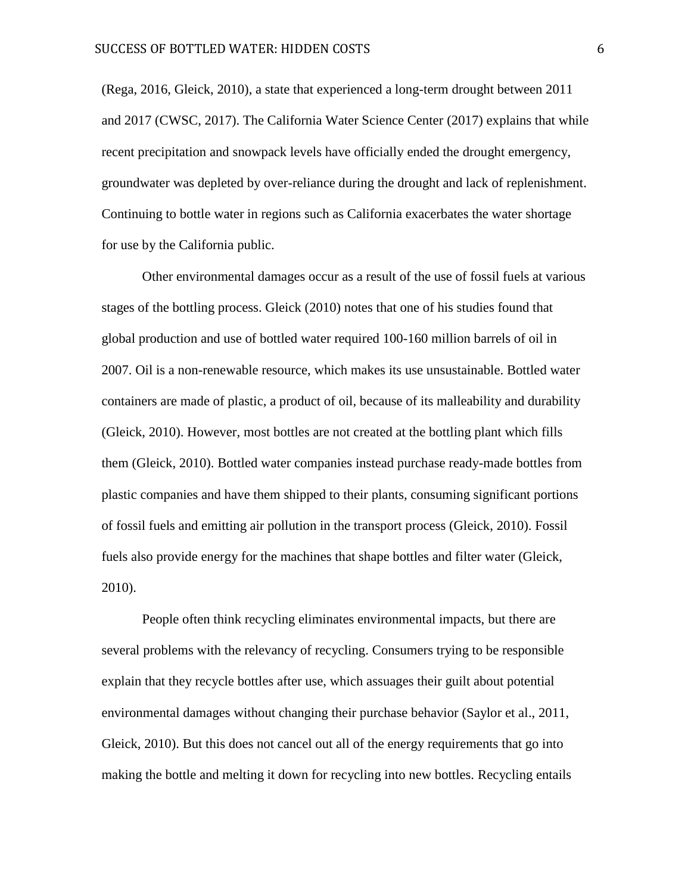(Rega, 2016, Gleick, 2010), a state that experienced a long-term drought between 2011 and 2017 (CWSC, 2017). The California Water Science Center (2017) explains that while recent precipitation and snowpack levels have officially ended the drought emergency, groundwater was depleted by over-reliance during the drought and lack of replenishment. Continuing to bottle water in regions such as California exacerbates the water shortage for use by the California public.

Other environmental damages occur as a result of the use of fossil fuels at various stages of the bottling process. Gleick (2010) notes that one of his studies found that global production and use of bottled water required 100-160 million barrels of oil in 2007. Oil is a non-renewable resource, which makes its use unsustainable. Bottled water containers are made of plastic, a product of oil, because of its malleability and durability (Gleick, 2010). However, most bottles are not created at the bottling plant which fills them (Gleick, 2010). Bottled water companies instead purchase ready-made bottles from plastic companies and have them shipped to their plants, consuming significant portions of fossil fuels and emitting air pollution in the transport process (Gleick, 2010). Fossil fuels also provide energy for the machines that shape bottles and filter water (Gleick, 2010).

People often think recycling eliminates environmental impacts, but there are several problems with the relevancy of recycling. Consumers trying to be responsible explain that they recycle bottles after use, which assuages their guilt about potential environmental damages without changing their purchase behavior (Saylor et al., 2011, Gleick, 2010). But this does not cancel out all of the energy requirements that go into making the bottle and melting it down for recycling into new bottles. Recycling entails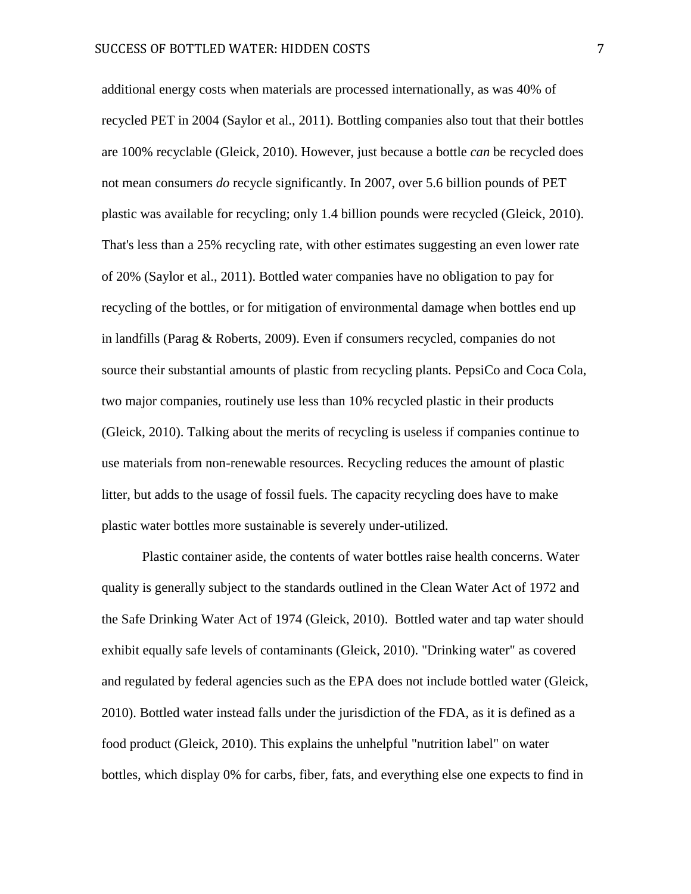additional energy costs when materials are processed internationally, as was 40% of recycled PET in 2004 (Saylor et al., 2011). Bottling companies also tout that their bottles are 100% recyclable (Gleick, 2010). However, just because a bottle *can* be recycled does not mean consumers *do* recycle significantly. In 2007, over 5.6 billion pounds of PET plastic was available for recycling; only 1.4 billion pounds were recycled (Gleick, 2010). That's less than a 25% recycling rate, with other estimates suggesting an even lower rate of 20% (Saylor et al., 2011). Bottled water companies have no obligation to pay for recycling of the bottles, or for mitigation of environmental damage when bottles end up in landfills (Parag & Roberts, 2009). Even if consumers recycled, companies do not source their substantial amounts of plastic from recycling plants. PepsiCo and Coca Cola, two major companies, routinely use less than 10% recycled plastic in their products (Gleick, 2010). Talking about the merits of recycling is useless if companies continue to use materials from non-renewable resources. Recycling reduces the amount of plastic litter, but adds to the usage of fossil fuels. The capacity recycling does have to make plastic water bottles more sustainable is severely under-utilized.

Plastic container aside, the contents of water bottles raise health concerns. Water quality is generally subject to the standards outlined in the Clean Water Act of 1972 and the Safe Drinking Water Act of 1974 (Gleick, 2010). Bottled water and tap water should exhibit equally safe levels of contaminants (Gleick, 2010). "Drinking water" as covered and regulated by federal agencies such as the EPA does not include bottled water (Gleick, 2010). Bottled water instead falls under the jurisdiction of the FDA, as it is defined as a food product (Gleick, 2010). This explains the unhelpful "nutrition label" on water bottles, which display 0% for carbs, fiber, fats, and everything else one expects to find in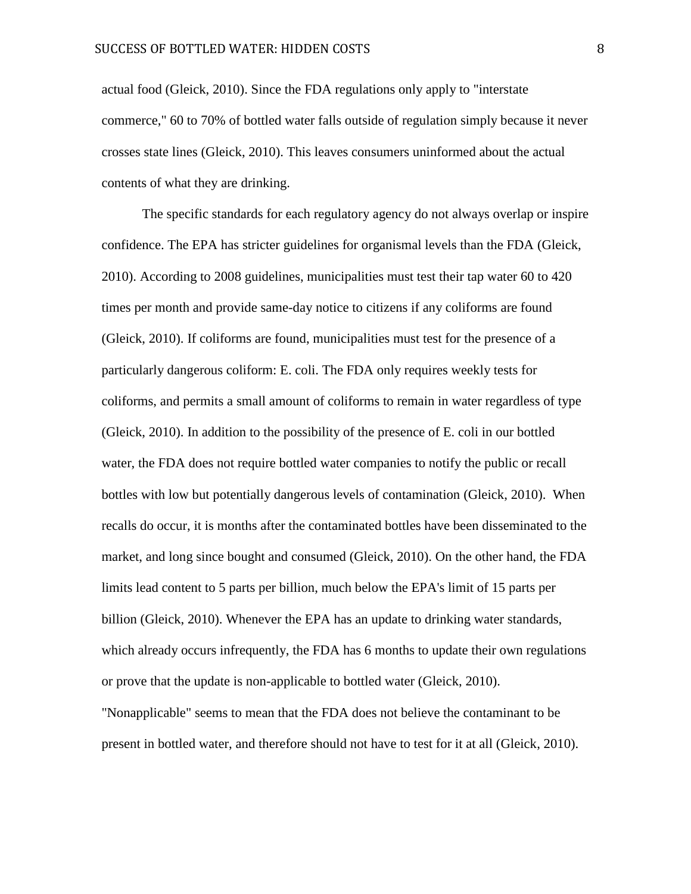actual food (Gleick, 2010). Since the FDA regulations only apply to "interstate commerce," 60 to 70% of bottled water falls outside of regulation simply because it never crosses state lines (Gleick, 2010). This leaves consumers uninformed about the actual contents of what they are drinking.

The specific standards for each regulatory agency do not always overlap or inspire confidence. The EPA has stricter guidelines for organismal levels than the FDA (Gleick, 2010). According to 2008 guidelines, municipalities must test their tap water 60 to 420 times per month and provide same-day notice to citizens if any coliforms are found (Gleick, 2010). If coliforms are found, municipalities must test for the presence of a particularly dangerous coliform: E. coli. The FDA only requires weekly tests for coliforms, and permits a small amount of coliforms to remain in water regardless of type (Gleick, 2010). In addition to the possibility of the presence of E. coli in our bottled water, the FDA does not require bottled water companies to notify the public or recall bottles with low but potentially dangerous levels of contamination (Gleick, 2010). When recalls do occur, it is months after the contaminated bottles have been disseminated to the market, and long since bought and consumed (Gleick, 2010). On the other hand, the FDA limits lead content to 5 parts per billion, much below the EPA's limit of 15 parts per billion (Gleick, 2010). Whenever the EPA has an update to drinking water standards, which already occurs infrequently, the FDA has 6 months to update their own regulations or prove that the update is non-applicable to bottled water (Gleick, 2010). "Nonapplicable" seems to mean that the FDA does not believe the contaminant to be

present in bottled water, and therefore should not have to test for it at all (Gleick, 2010).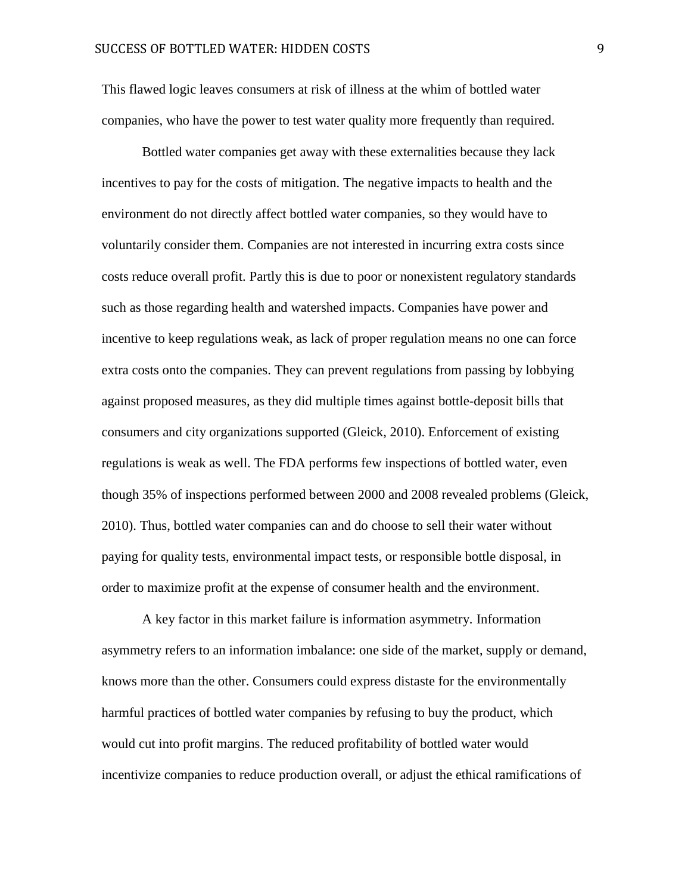This flawed logic leaves consumers at risk of illness at the whim of bottled water companies, who have the power to test water quality more frequently than required.

Bottled water companies get away with these externalities because they lack incentives to pay for the costs of mitigation. The negative impacts to health and the environment do not directly affect bottled water companies, so they would have to voluntarily consider them. Companies are not interested in incurring extra costs since costs reduce overall profit. Partly this is due to poor or nonexistent regulatory standards such as those regarding health and watershed impacts. Companies have power and incentive to keep regulations weak, as lack of proper regulation means no one can force extra costs onto the companies. They can prevent regulations from passing by lobbying against proposed measures, as they did multiple times against bottle-deposit bills that consumers and city organizations supported (Gleick, 2010). Enforcement of existing regulations is weak as well. The FDA performs few inspections of bottled water, even though 35% of inspections performed between 2000 and 2008 revealed problems (Gleick, 2010). Thus, bottled water companies can and do choose to sell their water without paying for quality tests, environmental impact tests, or responsible bottle disposal, in order to maximize profit at the expense of consumer health and the environment.

A key factor in this market failure is information asymmetry. Information asymmetry refers to an information imbalance: one side of the market, supply or demand, knows more than the other. Consumers could express distaste for the environmentally harmful practices of bottled water companies by refusing to buy the product, which would cut into profit margins. The reduced profitability of bottled water would incentivize companies to reduce production overall, or adjust the ethical ramifications of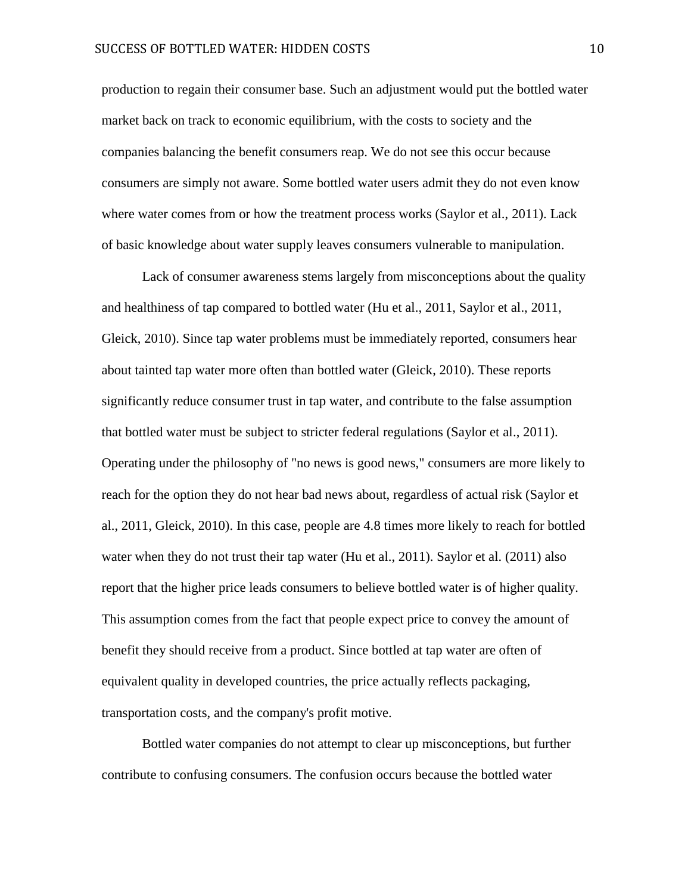production to regain their consumer base. Such an adjustment would put the bottled water market back on track to economic equilibrium, with the costs to society and the companies balancing the benefit consumers reap. We do not see this occur because consumers are simply not aware. Some bottled water users admit they do not even know where water comes from or how the treatment process works (Saylor et al., 2011). Lack of basic knowledge about water supply leaves consumers vulnerable to manipulation.

Lack of consumer awareness stems largely from misconceptions about the quality and healthiness of tap compared to bottled water (Hu et al., 2011, Saylor et al., 2011, Gleick, 2010). Since tap water problems must be immediately reported, consumers hear about tainted tap water more often than bottled water (Gleick, 2010). These reports significantly reduce consumer trust in tap water, and contribute to the false assumption that bottled water must be subject to stricter federal regulations (Saylor et al., 2011). Operating under the philosophy of "no news is good news," consumers are more likely to reach for the option they do not hear bad news about, regardless of actual risk (Saylor et al., 2011, Gleick, 2010). In this case, people are 4.8 times more likely to reach for bottled water when they do not trust their tap water (Hu et al., 2011). Saylor et al. (2011) also report that the higher price leads consumers to believe bottled water is of higher quality. This assumption comes from the fact that people expect price to convey the amount of benefit they should receive from a product. Since bottled at tap water are often of equivalent quality in developed countries, the price actually reflects packaging, transportation costs, and the company's profit motive.

Bottled water companies do not attempt to clear up misconceptions, but further contribute to confusing consumers. The confusion occurs because the bottled water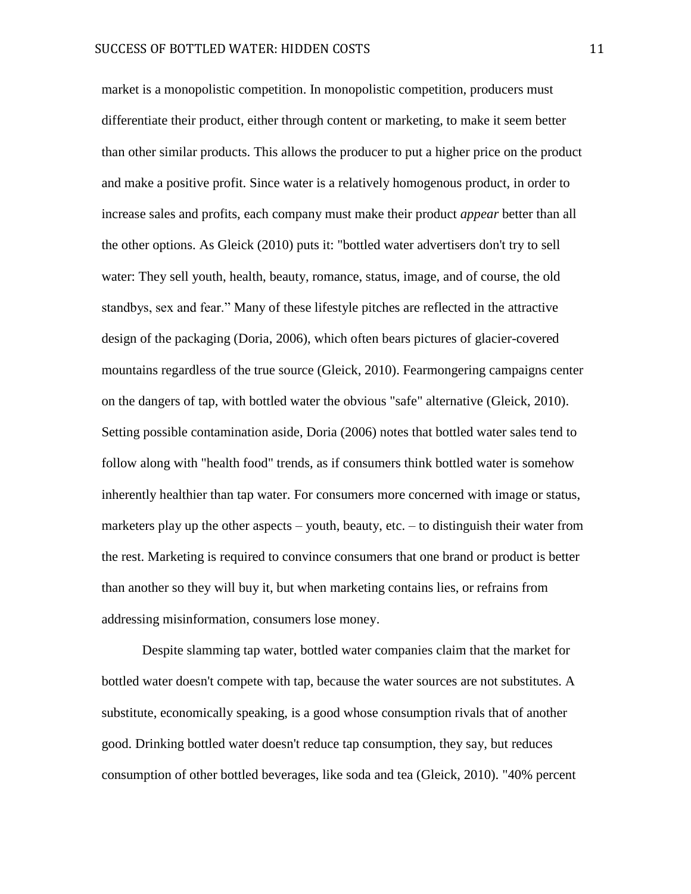market is a monopolistic competition. In monopolistic competition, producers must differentiate their product, either through content or marketing, to make it seem better than other similar products. This allows the producer to put a higher price on the product and make a positive profit. Since water is a relatively homogenous product, in order to increase sales and profits, each company must make their product *appear* better than all the other options. As Gleick (2010) puts it: "bottled water advertisers don't try to sell water: They sell youth, health, beauty, romance, status, image, and of course, the old standbys, sex and fear." Many of these lifestyle pitches are reflected in the attractive design of the packaging (Doria, 2006), which often bears pictures of glacier-covered mountains regardless of the true source (Gleick, 2010). Fearmongering campaigns center on the dangers of tap, with bottled water the obvious "safe" alternative (Gleick, 2010). Setting possible contamination aside, Doria (2006) notes that bottled water sales tend to follow along with "health food" trends, as if consumers think bottled water is somehow inherently healthier than tap water. For consumers more concerned with image or status, marketers play up the other aspects – youth, beauty, etc. – to distinguish their water from the rest. Marketing is required to convince consumers that one brand or product is better than another so they will buy it, but when marketing contains lies, or refrains from addressing misinformation, consumers lose money.

Despite slamming tap water, bottled water companies claim that the market for bottled water doesn't compete with tap, because the water sources are not substitutes. A substitute, economically speaking, is a good whose consumption rivals that of another good. Drinking bottled water doesn't reduce tap consumption, they say, but reduces consumption of other bottled beverages, like soda and tea (Gleick, 2010). "40% percent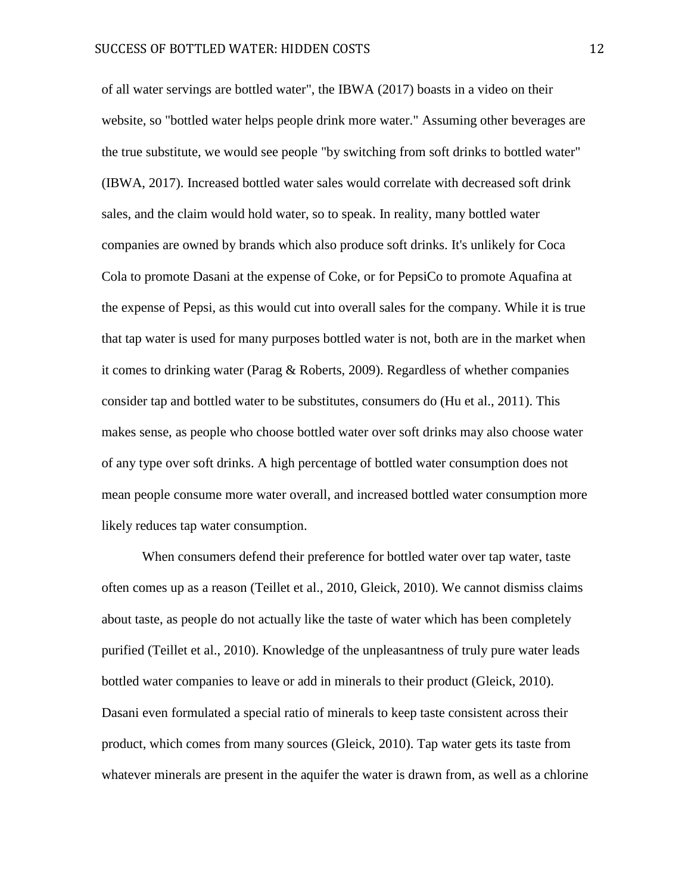of all water servings are bottled water", the IBWA (2017) boasts in a video on their website, so "bottled water helps people drink more water." Assuming other beverages are the true substitute, we would see people "by switching from soft drinks to bottled water" (IBWA, 2017). Increased bottled water sales would correlate with decreased soft drink sales, and the claim would hold water, so to speak. In reality, many bottled water companies are owned by brands which also produce soft drinks. It's unlikely for Coca Cola to promote Dasani at the expense of Coke, or for PepsiCo to promote Aquafina at the expense of Pepsi, as this would cut into overall sales for the company. While it is true that tap water is used for many purposes bottled water is not, both are in the market when it comes to drinking water (Parag & Roberts, 2009). Regardless of whether companies consider tap and bottled water to be substitutes, consumers do (Hu et al., 2011). This makes sense, as people who choose bottled water over soft drinks may also choose water of any type over soft drinks. A high percentage of bottled water consumption does not mean people consume more water overall, and increased bottled water consumption more likely reduces tap water consumption.

When consumers defend their preference for bottled water over tap water, taste often comes up as a reason (Teillet et al., 2010, Gleick, 2010). We cannot dismiss claims about taste, as people do not actually like the taste of water which has been completely purified (Teillet et al., 2010). Knowledge of the unpleasantness of truly pure water leads bottled water companies to leave or add in minerals to their product (Gleick, 2010). Dasani even formulated a special ratio of minerals to keep taste consistent across their product, which comes from many sources (Gleick, 2010). Tap water gets its taste from whatever minerals are present in the aquifer the water is drawn from, as well as a chlorine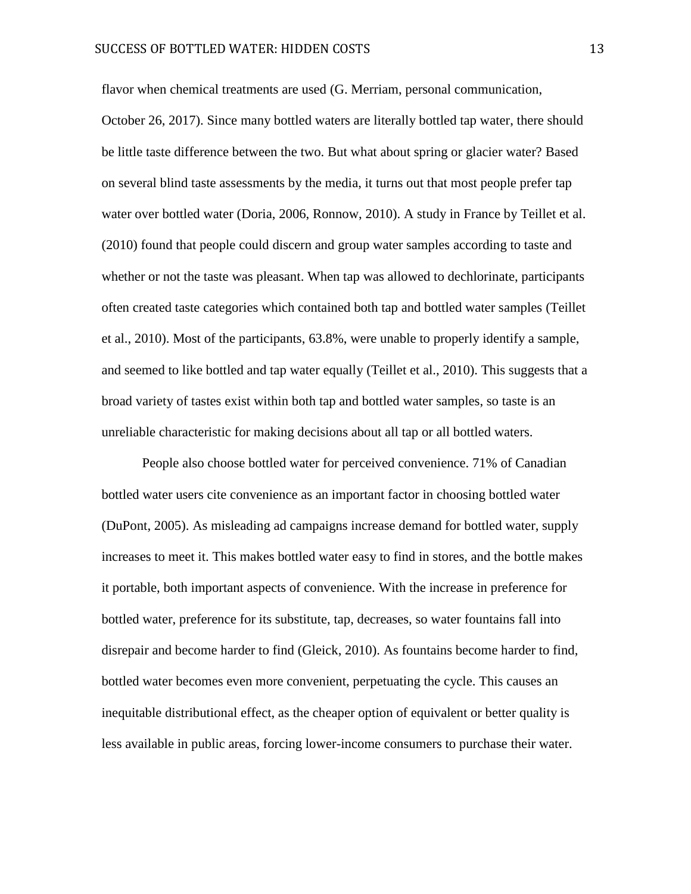flavor when chemical treatments are used (G. Merriam, personal communication, October 26, 2017). Since many bottled waters are literally bottled tap water, there should be little taste difference between the two. But what about spring or glacier water? Based on several blind taste assessments by the media, it turns out that most people prefer tap water over bottled water (Doria, 2006, Ronnow, 2010). A study in France by Teillet et al. (2010) found that people could discern and group water samples according to taste and whether or not the taste was pleasant. When tap was allowed to dechlorinate, participants often created taste categories which contained both tap and bottled water samples (Teillet et al., 2010). Most of the participants, 63.8%, were unable to properly identify a sample, and seemed to like bottled and tap water equally (Teillet et al., 2010). This suggests that a broad variety of tastes exist within both tap and bottled water samples, so taste is an unreliable characteristic for making decisions about all tap or all bottled waters.

People also choose bottled water for perceived convenience. 71% of Canadian bottled water users cite convenience as an important factor in choosing bottled water (DuPont, 2005). As misleading ad campaigns increase demand for bottled water, supply increases to meet it. This makes bottled water easy to find in stores, and the bottle makes it portable, both important aspects of convenience. With the increase in preference for bottled water, preference for its substitute, tap, decreases, so water fountains fall into disrepair and become harder to find (Gleick, 2010). As fountains become harder to find, bottled water becomes even more convenient, perpetuating the cycle. This causes an inequitable distributional effect, as the cheaper option of equivalent or better quality is less available in public areas, forcing lower-income consumers to purchase their water.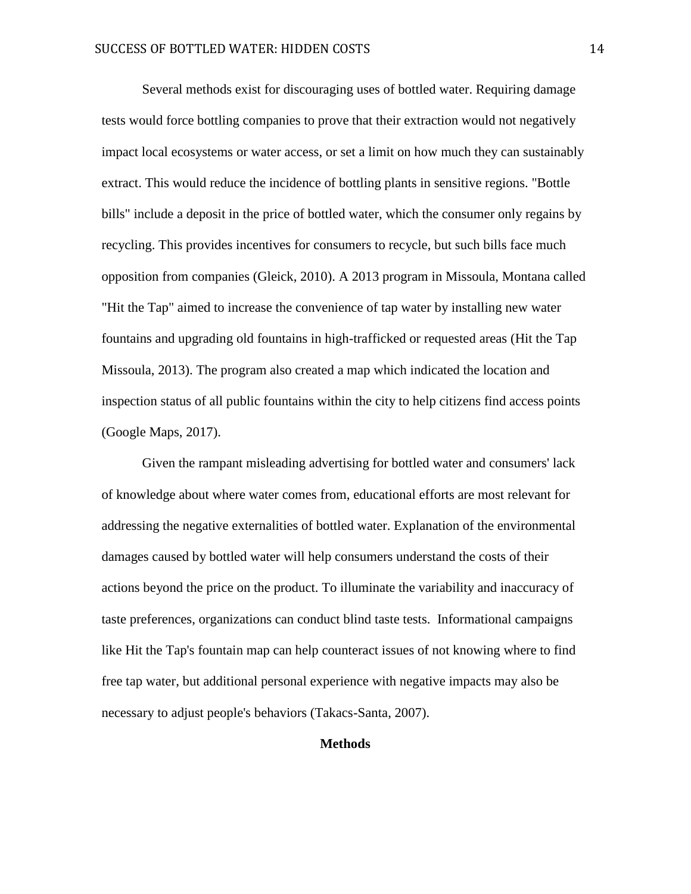Several methods exist for discouraging uses of bottled water. Requiring damage tests would force bottling companies to prove that their extraction would not negatively impact local ecosystems or water access, or set a limit on how much they can sustainably extract. This would reduce the incidence of bottling plants in sensitive regions. "Bottle bills" include a deposit in the price of bottled water, which the consumer only regains by recycling. This provides incentives for consumers to recycle, but such bills face much opposition from companies (Gleick, 2010). A 2013 program in Missoula, Montana called "Hit the Tap" aimed to increase the convenience of tap water by installing new water fountains and upgrading old fountains in high-trafficked or requested areas (Hit the Tap Missoula, 2013). The program also created a map which indicated the location and inspection status of all public fountains within the city to help citizens find access points (Google Maps, 2017).

Given the rampant misleading advertising for bottled water and consumers' lack of knowledge about where water comes from, educational efforts are most relevant for addressing the negative externalities of bottled water. Explanation of the environmental damages caused by bottled water will help consumers understand the costs of their actions beyond the price on the product. To illuminate the variability and inaccuracy of taste preferences, organizations can conduct blind taste tests. Informational campaigns like Hit the Tap's fountain map can help counteract issues of not knowing where to find free tap water, but additional personal experience with negative impacts may also be necessary to adjust people's behaviors (Takacs-Santa, 2007).

# **Methods**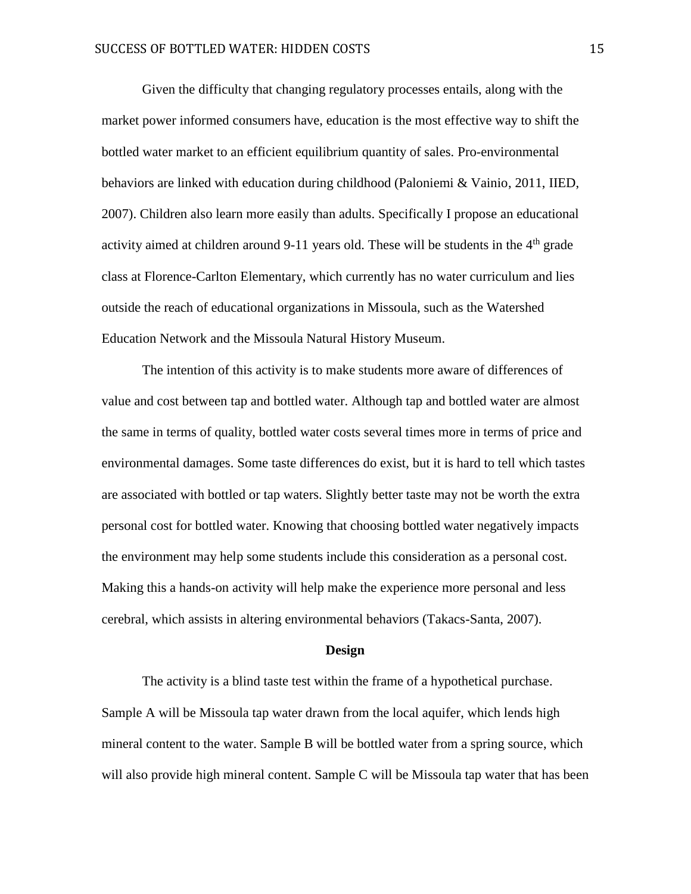Given the difficulty that changing regulatory processes entails, along with the market power informed consumers have, education is the most effective way to shift the bottled water market to an efficient equilibrium quantity of sales. Pro-environmental behaviors are linked with education during childhood (Paloniemi & Vainio, 2011, IIED, 2007). Children also learn more easily than adults. Specifically I propose an educational activity aimed at children around 9-11 years old. These will be students in the  $4<sup>th</sup>$  grade class at Florence-Carlton Elementary, which currently has no water curriculum and lies outside the reach of educational organizations in Missoula, such as the Watershed Education Network and the Missoula Natural History Museum.

The intention of this activity is to make students more aware of differences of value and cost between tap and bottled water. Although tap and bottled water are almost the same in terms of quality, bottled water costs several times more in terms of price and environmental damages. Some taste differences do exist, but it is hard to tell which tastes are associated with bottled or tap waters. Slightly better taste may not be worth the extra personal cost for bottled water. Knowing that choosing bottled water negatively impacts the environment may help some students include this consideration as a personal cost. Making this a hands-on activity will help make the experience more personal and less cerebral, which assists in altering environmental behaviors (Takacs-Santa, 2007).

#### **Design**

The activity is a blind taste test within the frame of a hypothetical purchase. Sample A will be Missoula tap water drawn from the local aquifer, which lends high mineral content to the water. Sample B will be bottled water from a spring source, which will also provide high mineral content. Sample C will be Missoula tap water that has been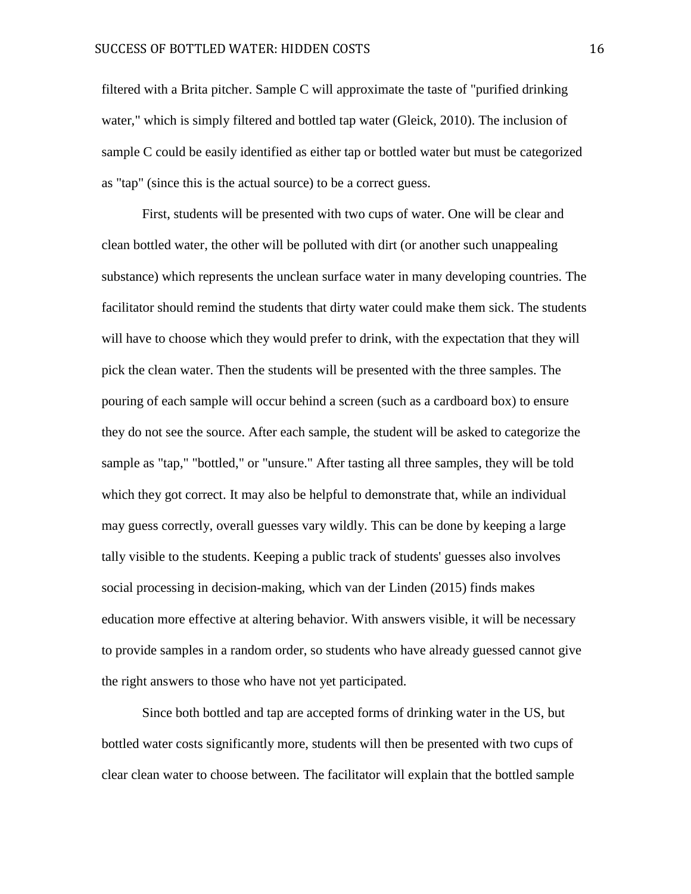filtered with a Brita pitcher. Sample C will approximate the taste of "purified drinking water," which is simply filtered and bottled tap water (Gleick, 2010). The inclusion of sample C could be easily identified as either tap or bottled water but must be categorized as "tap" (since this is the actual source) to be a correct guess.

First, students will be presented with two cups of water. One will be clear and clean bottled water, the other will be polluted with dirt (or another such unappealing substance) which represents the unclean surface water in many developing countries. The facilitator should remind the students that dirty water could make them sick. The students will have to choose which they would prefer to drink, with the expectation that they will pick the clean water. Then the students will be presented with the three samples. The pouring of each sample will occur behind a screen (such as a cardboard box) to ensure they do not see the source. After each sample, the student will be asked to categorize the sample as "tap," "bottled," or "unsure." After tasting all three samples, they will be told which they got correct. It may also be helpful to demonstrate that, while an individual may guess correctly, overall guesses vary wildly. This can be done by keeping a large tally visible to the students. Keeping a public track of students' guesses also involves social processing in decision-making, which van der Linden (2015) finds makes education more effective at altering behavior. With answers visible, it will be necessary to provide samples in a random order, so students who have already guessed cannot give the right answers to those who have not yet participated.

Since both bottled and tap are accepted forms of drinking water in the US, but bottled water costs significantly more, students will then be presented with two cups of clear clean water to choose between. The facilitator will explain that the bottled sample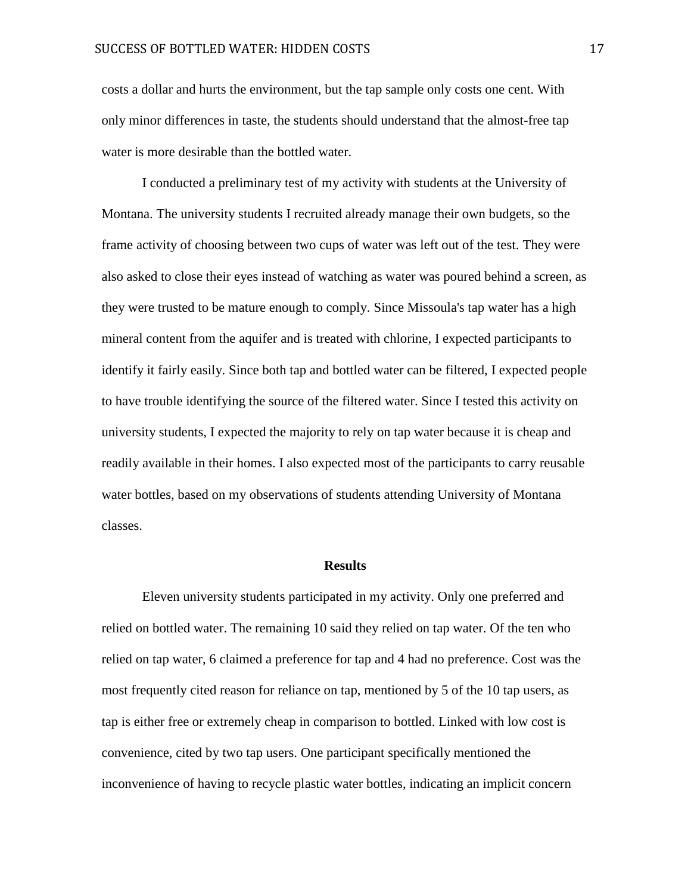costs a dollar and hurts the environment, but the tap sample only costs one cent. With only minor differences in taste, the students should understand that the almost-free tap water is more desirable than the bottled water.

I conducted a preliminary test of my activity with students at the University of Montana. The university students I recruited already manage their own budgets, so the frame activity of choosing between two cups of water was left out of the test. They were also asked to close their eyes instead of watching as water was poured behind a screen, as they were trusted to be mature enough to comply. Since Missoula's tap water has a high mineral content from the aquifer and is treated with chlorine, I expected participants to identify it fairly easily. Since both tap and bottled water can be filtered, I expected people to have trouble identifying the source of the filtered water. Since I tested this activity on university students, I expected the majority to rely on tap water because it is cheap and readily available in their homes. I also expected most of the participants to carry reusable water bottles, based on my observations of students attending University of Montana classes.

#### **Results**

Eleven university students participated in my activity. Only one preferred and relied on bottled water. The remaining 10 said they relied on tap water. Of the ten who relied on tap water, 6 claimed a preference for tap and 4 had no preference. Cost was the most frequently cited reason for reliance on tap, mentioned by 5 of the 10 tap users, as tap is either free or extremely cheap in comparison to bottled. Linked with low cost is convenience, cited by two tap users. One participant specifically mentioned the inconvenience of having to recycle plastic water bottles, indicating an implicit concern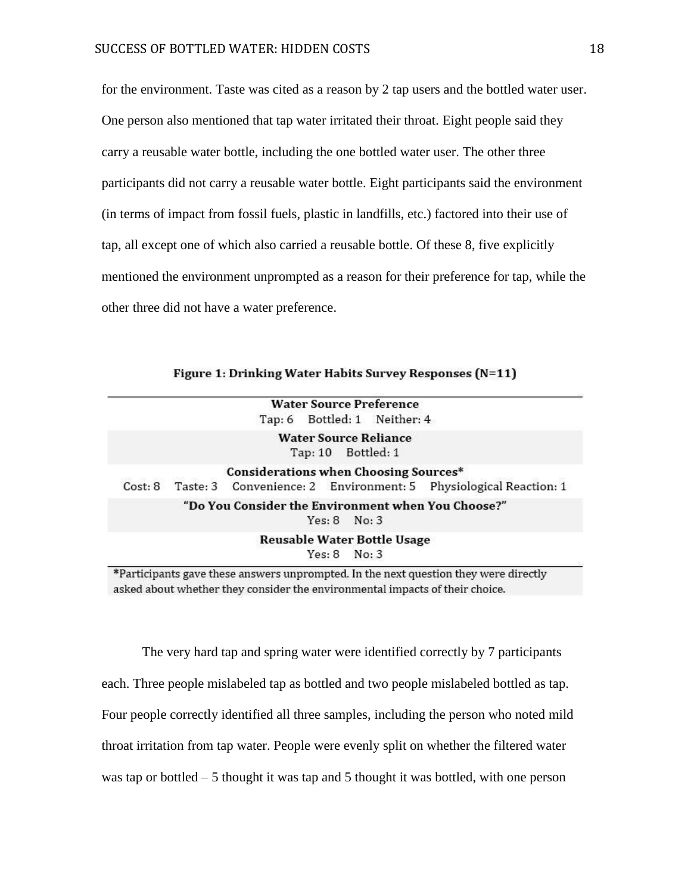for the environment. Taste was cited as a reason by 2 tap users and the bottled water user. One person also mentioned that tap water irritated their throat. Eight people said they carry a reusable water bottle, including the one bottled water user. The other three participants did not carry a reusable water bottle. Eight participants said the environment (in terms of impact from fossil fuels, plastic in landfills, etc.) factored into their use of tap, all except one of which also carried a reusable bottle. Of these 8, five explicitly mentioned the environment unprompted as a reason for their preference for tap, while the other three did not have a water preference.

|  |  | Figure 1: Drinking Water Habits Survey Responses (N=11) |  |
|--|--|---------------------------------------------------------|--|
|--|--|---------------------------------------------------------|--|

|  |                                                    | <b>Water Source Preference</b>                     |                                                                          |
|--|----------------------------------------------------|----------------------------------------------------|--------------------------------------------------------------------------|
|  | Tap: 6 Bottled: 1 Neither: 4                       |                                                    |                                                                          |
|  |                                                    | <b>Water Source Reliance</b><br>Tap: 10 Bottled: 1 |                                                                          |
|  | <b>Considerations when Choosing Sources*</b>       |                                                    |                                                                          |
|  |                                                    |                                                    | Cost: 8 Taste: 3 Convenience: 2 Environment: 5 Physiological Reaction: 1 |
|  | "Do You Consider the Environment when You Choose?" | Yes: 8 No: 3                                       |                                                                          |
|  |                                                    | <b>Reusable Water Bottle Usage</b>                 |                                                                          |
|  |                                                    | Yes: 8 No: 3                                       |                                                                          |

\*Participants gave these answers unprompted. In the next question they were directly asked about whether they consider the environmental impacts of their choice.

The very hard tap and spring water were identified correctly by 7 participants each. Three people mislabeled tap as bottled and two people mislabeled bottled as tap. Four people correctly identified all three samples, including the person who noted mild throat irritation from tap water. People were evenly split on whether the filtered water was tap or bottled – 5 thought it was tap and 5 thought it was bottled, with one person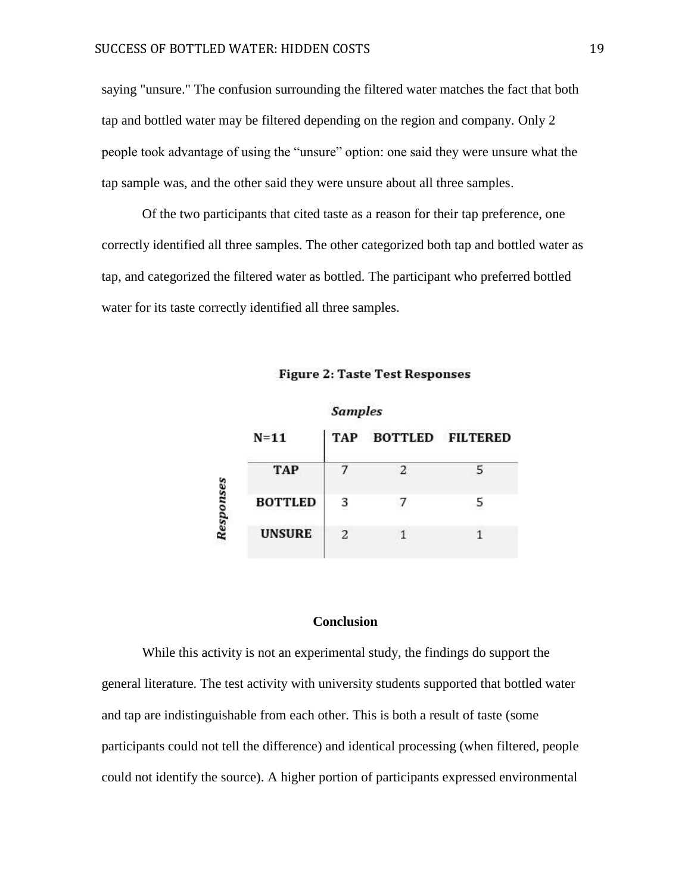saying "unsure." The confusion surrounding the filtered water matches the fact that both tap and bottled water may be filtered depending on the region and company. Only 2 people took advantage of using the "unsure" option: one said they were unsure what the tap sample was, and the other said they were unsure about all three samples.

Of the two participants that cited taste as a reason for their tap preference, one correctly identified all three samples. The other categorized both tap and bottled water as tap, and categorized the filtered water as bottled. The participant who preferred bottled water for its taste correctly identified all three samples.

|      |                | ounpres |                      |    |
|------|----------------|---------|----------------------|----|
|      | $N=11$         |         | TAP BOTTLED FILTERED |    |
|      | <b>TAP</b>     |         | $\mathfrak{D}$       | 5. |
| nses | <b>BOTTLED</b> | 3       |                      |    |
| Resi | <b>UNSURE</b>  |         |                      |    |
|      |                |         |                      |    |

Samples

**Figure 2: Taste Test Responses** 

# **Conclusion**

While this activity is not an experimental study, the findings do support the general literature. The test activity with university students supported that bottled water and tap are indistinguishable from each other. This is both a result of taste (some participants could not tell the difference) and identical processing (when filtered, people could not identify the source). A higher portion of participants expressed environmental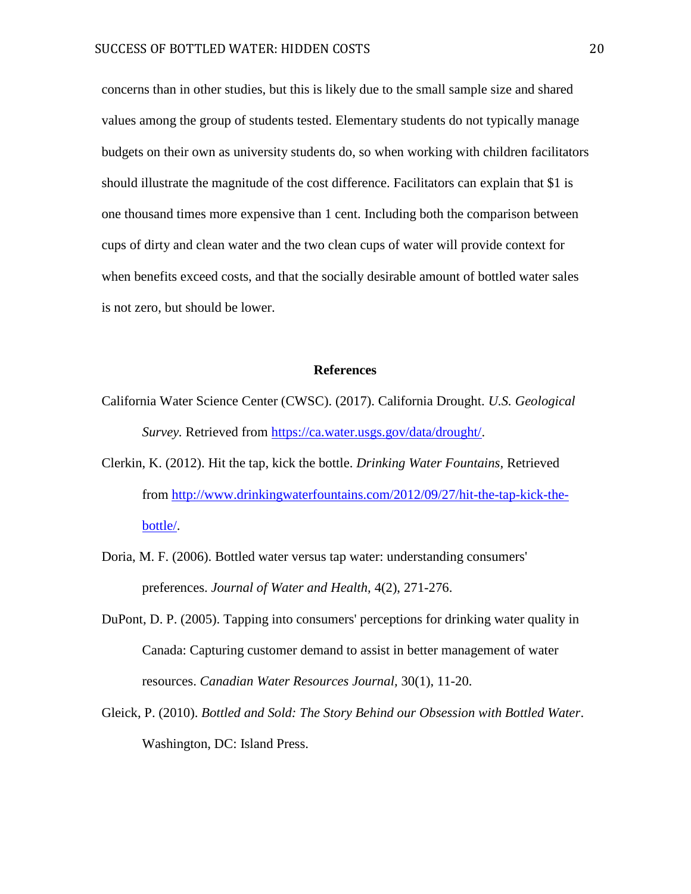concerns than in other studies, but this is likely due to the small sample size and shared values among the group of students tested. Elementary students do not typically manage budgets on their own as university students do, so when working with children facilitators should illustrate the magnitude of the cost difference. Facilitators can explain that \$1 is one thousand times more expensive than 1 cent. Including both the comparison between cups of dirty and clean water and the two clean cups of water will provide context for when benefits exceed costs, and that the socially desirable amount of bottled water sales is not zero, but should be lower.

### **References**

- California Water Science Center (CWSC). (2017). California Drought. *U.S. Geological Survey.* Retrieved from [https://ca.water.usgs.gov/data/drought/.](https://ca.water.usgs.gov/data/drought/)
- Clerkin, K. (2012). Hit the tap, kick the bottle. *Drinking Water Fountains,* Retrieved from [http://www.drinkingwaterfountains.com/2012/09/27/hit-the-tap-kick-the](http://www.drinkingwaterfountains.com/2012/09/27/hit-the-tap-kick-the-bottle/)[bottle/.](http://www.drinkingwaterfountains.com/2012/09/27/hit-the-tap-kick-the-bottle/)
- Doria, M. F. (2006). Bottled water versus tap water: understanding consumers' preferences. *Journal of Water and Health,* 4(2), 271-276.
- DuPont, D. P. (2005). Tapping into consumers' perceptions for drinking water quality in Canada: Capturing customer demand to assist in better management of water resources. *Canadian Water Resources Journal,* 30(1), 11-20.
- Gleick, P. (2010). *Bottled and Sold: The Story Behind our Obsession with Bottled Water*. Washington, DC: Island Press.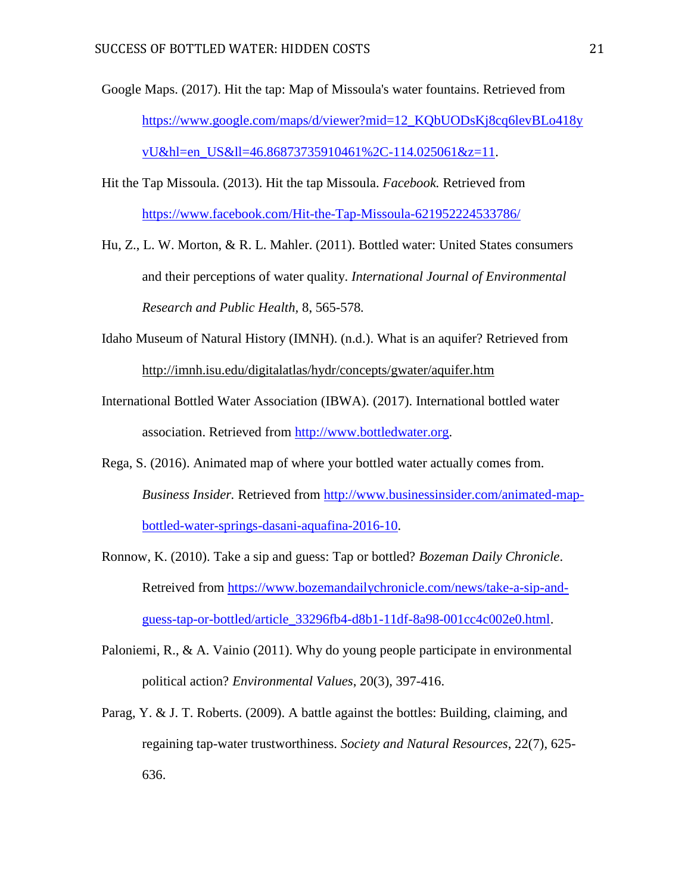- Google Maps. (2017). Hit the tap: Map of Missoula's water fountains. Retrieved from [https://www.google.com/maps/d/viewer?mid=12\\_KQbUODsKj8cq6levBLo418y](https://www.google.com/maps/d/viewer?mid=12_KQbUODsKj8cq6levBLo418yvU&hl=en_US&ll=46.86873735910461%2C-114.025061&z=11) [vU&hl=en\\_US&ll=46.86873735910461%2C-114.025061&z=11.](https://www.google.com/maps/d/viewer?mid=12_KQbUODsKj8cq6levBLo418yvU&hl=en_US&ll=46.86873735910461%2C-114.025061&z=11)
- Hit the Tap Missoula. (2013). Hit the tap Missoula. *Facebook.* Retrieved from <https://www.facebook.com/Hit-the-Tap-Missoula-621952224533786/>

Hu, Z., L. W. Morton, & R. L. Mahler. (2011). Bottled water: United States consumers and their perceptions of water quality. *International Journal of Environmental Research and Public Health,* 8, 565-578*.*

- Idaho Museum of Natural History (IMNH). (n.d.). What is an aquifer? Retrieved from <http://imnh.isu.edu/digitalatlas/hydr/concepts/gwater/aquifer.htm>
- International Bottled Water Association (IBWA). (2017). International bottled water association. Retrieved from [http://www.bottledwater.org.](http://www.bottledwater.org/)
- Rega, S. (2016). Animated map of where your bottled water actually comes from. *Business Insider.* Retrieved from [http://www.businessinsider.com/animated-map](http://www.businessinsider.com/animated-map-bottled-water-springs-dasani-aquafina-2016-10)[bottled-water-springs-dasani-aquafina-2016-10.](http://www.businessinsider.com/animated-map-bottled-water-springs-dasani-aquafina-2016-10)
- Ronnow, K. (2010). Take a sip and guess: Tap or bottled? *Bozeman Daily Chronicle*. Retreived from [https://www.bozemandailychronicle.com/news/take-a-sip-and](https://www.bozemandailychronicle.com/news/take-a-sip-and-guess-tap-or-bottled/article_33296fb4-d8b1-11df-8a98-001cc4c002e0.html)[guess-tap-or-bottled/article\\_33296fb4-d8b1-11df-8a98-001cc4c002e0.html.](https://www.bozemandailychronicle.com/news/take-a-sip-and-guess-tap-or-bottled/article_33296fb4-d8b1-11df-8a98-001cc4c002e0.html)
- Paloniemi, R., & A. Vainio (2011). Why do young people participate in environmental political action? *Environmental Values*, 20(3), 397-416.
- Parag, Y. & J. T. Roberts. (2009). A battle against the bottles: Building, claiming, and regaining tap-water trustworthiness. *Society and Natural Resources*, 22(7), 625- 636.